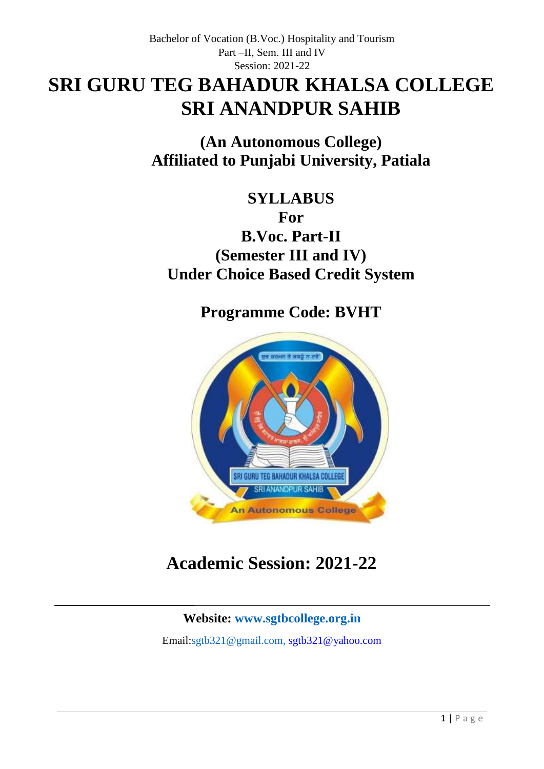# **SRI GURU TEG BAHADUR KHALSA COLLEGE SRI ANANDPUR SAHIB**

**(An Autonomous College) Affiliated to Punjabi University, Patiala**

**SYLLABUS For B.Voc. Part-II (Semester III and IV) Under Choice Based Credit System**

**Programme Code: BVHT**



# **Academic Session: 2021-22**

# **Website: [www.sgtbcollege.org.in](http://www.sgtbcollege.org.in/)**

Email[:sgtb321@gmail.com,](mailto:sgtb321@gmail.com) sgtb321@yahoo.com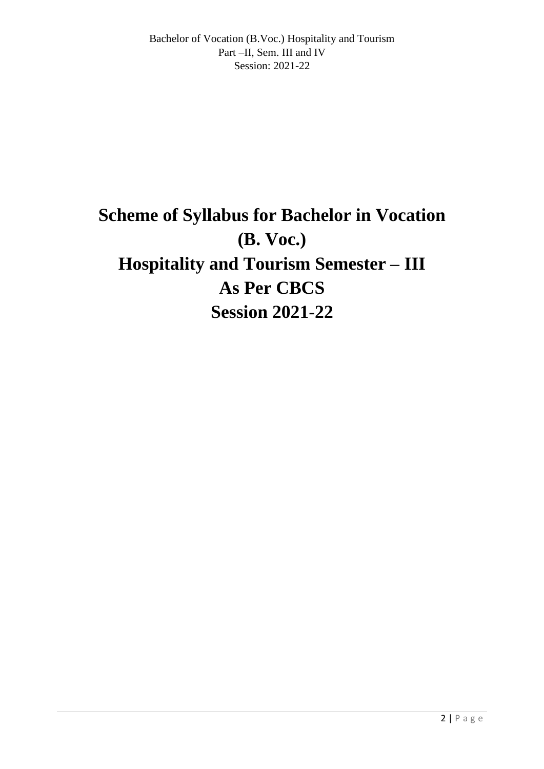# **Scheme of Syllabus for Bachelor in Vocation (B. Voc.) Hospitality and Tourism Semester – III As Per CBCS Session 2021-22**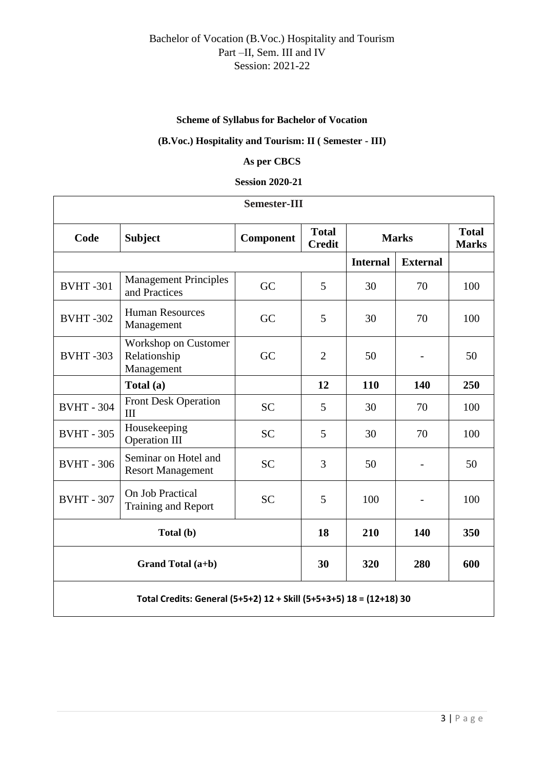### **Scheme of Syllabus for Bachelor of Vocation**

### **(B.Voc.) Hospitality and Tourism: II ( Semester - III)**

### **As per CBCS**

#### **Session 2020-21**

| <b>Semester-III</b>                                                 |                                                           |                  |                               |                 |                              |     |  |  |  |
|---------------------------------------------------------------------|-----------------------------------------------------------|------------------|-------------------------------|-----------------|------------------------------|-----|--|--|--|
| Code                                                                | <b>Subject</b>                                            | <b>Component</b> | <b>Total</b><br><b>Credit</b> | <b>Marks</b>    | <b>Total</b><br><b>Marks</b> |     |  |  |  |
|                                                                     |                                                           |                  |                               | <b>Internal</b> | <b>External</b>              |     |  |  |  |
| <b>BVHT-301</b>                                                     | <b>Management Principles</b><br>and Practices             | GC               | 5                             | 30              | 70                           | 100 |  |  |  |
| <b>BVHT-302</b>                                                     | <b>Human Resources</b><br>Management                      | GC               | 5                             | 30              | 70                           | 100 |  |  |  |
| <b>BVHT-303</b>                                                     | <b>Workshop on Customer</b><br>Relationship<br>Management | GC               | $\overline{2}$                | 50              | $\qquad \qquad -$            | 50  |  |  |  |
|                                                                     | Total (a)                                                 |                  | 12                            | 110             | 140                          | 250 |  |  |  |
| <b>BVHT - 304</b>                                                   | <b>Front Desk Operation</b><br>III                        | <b>SC</b>        | 5                             | 30              | 70                           | 100 |  |  |  |
| <b>BVHT - 305</b>                                                   | Housekeeping<br><b>Operation III</b>                      | <b>SC</b>        | 5                             | 30              | 70                           | 100 |  |  |  |
| <b>BVHT - 306</b>                                                   | Seminar on Hotel and<br><b>Resort Management</b>          | <b>SC</b>        | 3                             | 50              | $\overline{\phantom{a}}$     | 50  |  |  |  |
| <b>BVHT - 307</b>                                                   | On Job Practical<br><b>Training and Report</b>            | <b>SC</b>        | 5                             | 100             |                              | 100 |  |  |  |
| Total (b)                                                           |                                                           |                  | 18                            | 210             | 140                          | 350 |  |  |  |
| Grand Total (a+b)                                                   |                                                           |                  | 30                            | 320             | 280                          | 600 |  |  |  |
| Total Credits: General (5+5+2) 12 + Skill (5+5+3+5) 18 = (12+18) 30 |                                                           |                  |                               |                 |                              |     |  |  |  |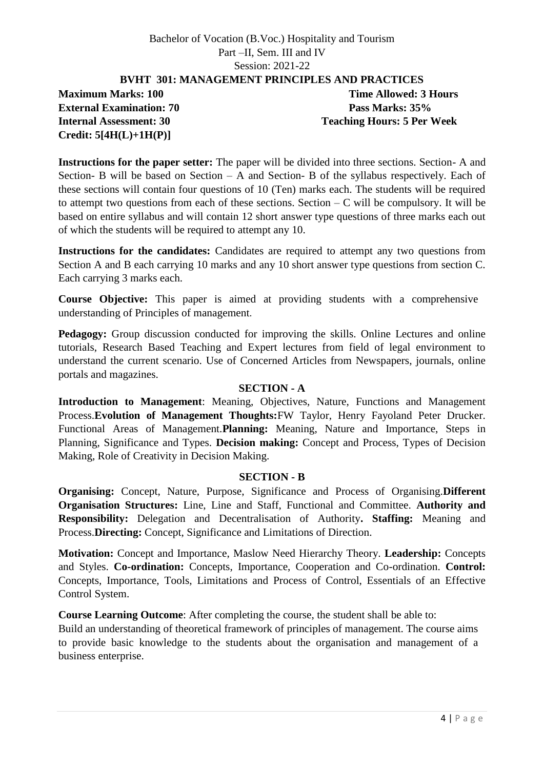**BVHT 301: MANAGEMENT PRINCIPLES AND PRACTICES**

**External Examination: 70 Pass Marks: 35% Credit: 5[4H(L)+1H(P)]**

**Maximum Marks: 100 Time Allowed: 3 Hours Internal Assessment: 30 Teaching Hours: 5 Per Week**

**Instructions for the paper setter:** The paper will be divided into three sections. Section- A and Section- B will be based on Section – A and Section- B of the syllabus respectively. Each of these sections will contain four questions of 10 (Ten) marks each. The students will be required to attempt two questions from each of these sections. Section  $-C$  will be compulsory. It will be based on entire syllabus and will contain 12 short answer type questions of three marks each out of which the students will be required to attempt any 10.

**Instructions for the candidates:** Candidates are required to attempt any two questions from Section A and B each carrying 10 marks and any 10 short answer type questions from section C. Each carrying 3 marks each.

**Course Objective:** This paper is aimed at providing students with a comprehensive understanding of Principles of management.

**Pedagogy:** Group discussion conducted for improving the skills. Online Lectures and online tutorials, Research Based Teaching and Expert lectures from field of legal environment to understand the current scenario. Use of Concerned Articles from Newspapers, journals, online portals and magazines.

### **SECTION - A**

**Introduction to Management**: Meaning, Objectives, Nature, Functions and Management Process.**Evolution of Management Thoughts:**FW Taylor, Henry Fayoland Peter Drucker. Functional Areas of Management.**Planning:** Meaning, Nature and Importance, Steps in Planning, Significance and Types. **Decision making:** Concept and Process, Types of Decision Making, Role of Creativity in Decision Making.

### **SECTION - B**

**Organising:** Concept, Nature, Purpose, Significance and Process of Organising.**Different Organisation Structures:** Line, Line and Staff, Functional and Committee. **Authority and Responsibility:** Delegation and Decentralisation of Authority**. Staffing:** Meaning and Process.**Directing:** Concept, Significance and Limitations of Direction.

**Motivation:** Concept and Importance, Maslow Need Hierarchy Theory. **Leadership:** Concepts and Styles. **Co-ordination:** Concepts, Importance, Cooperation and Co-ordination. **Control:** Concepts, Importance, Tools, Limitations and Process of Control, Essentials of an Effective Control System.

**Course Learning Outcome**: After completing the course, the student shall be able to:

Build an understanding of theoretical framework of principles of management. The course aims to provide basic knowledge to the students about the organisation and management of a business enterprise.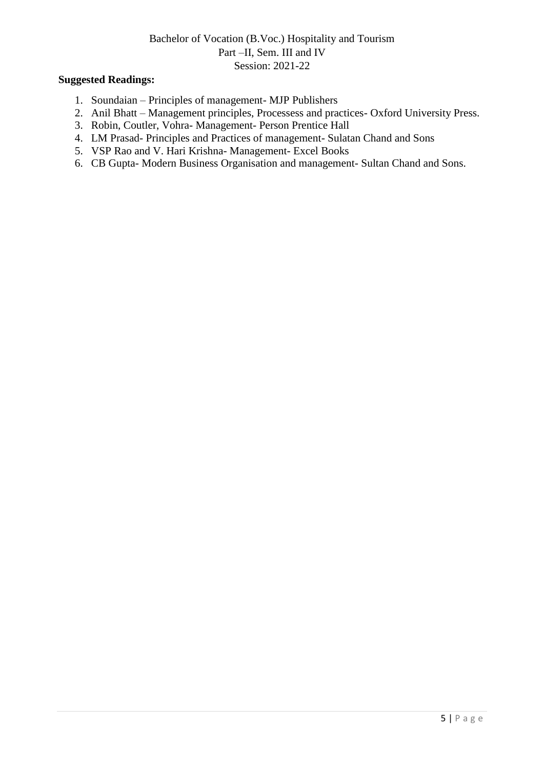- 1. Soundaian Principles of management- MJP Publishers
- 2. Anil Bhatt Management principles, Processess and practices- Oxford University Press.
- 3. Robin, Coutler, Vohra- Management- Person Prentice Hall
- 4. LM Prasad- Principles and Practices of management- Sulatan Chand and Sons
- 5. VSP Rao and V. Hari Krishna- Management- Excel Books
- 6. CB Gupta- Modern Business Organisation and management- Sultan Chand and Sons.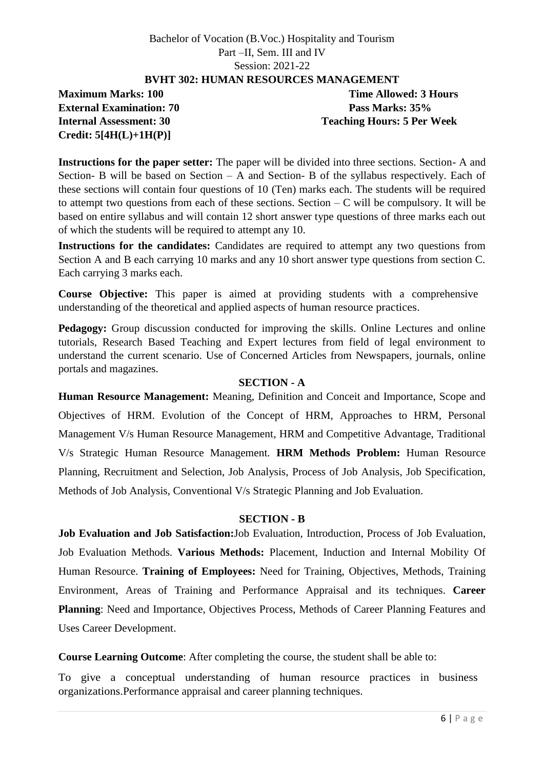### **BVHT 302: HUMAN RESOURCES MANAGEMENT**

**External Examination: 70 Pass Marks: 35% Credit: 5[4H(L)+1H(P)]**

**Maximum Marks: 100 Time Allowed: 3 Hours Internal Assessment: 30 Teaching Hours: 5 Per Week**

**Instructions for the paper setter:** The paper will be divided into three sections. Section- A and Section- B will be based on Section – A and Section- B of the syllabus respectively. Each of these sections will contain four questions of 10 (Ten) marks each. The students will be required to attempt two questions from each of these sections. Section  $-C$  will be compulsory. It will be based on entire syllabus and will contain 12 short answer type questions of three marks each out of which the students will be required to attempt any 10.

**Instructions for the candidates:** Candidates are required to attempt any two questions from Section A and B each carrying 10 marks and any 10 short answer type questions from section C. Each carrying 3 marks each.

**Course Objective:** This paper is aimed at providing students with a comprehensive understanding of the theoretical and applied aspects of human resource practices.

**Pedagogy:** Group discussion conducted for improving the skills. Online Lectures and online tutorials, Research Based Teaching and Expert lectures from field of legal environment to understand the current scenario. Use of Concerned Articles from Newspapers, journals, online portals and magazines.

### **SECTION - A**

**Human Resource Management:** Meaning, Definition and Conceit and Importance, Scope and Objectives of HRM. Evolution of the Concept of HRM, Approaches to HRM, Personal Management V/s Human Resource Management, HRM and Competitive Advantage, Traditional V/s Strategic Human Resource Management. **HRM Methods Problem:** Human Resource Planning, Recruitment and Selection, Job Analysis, Process of Job Analysis, Job Specification, Methods of Job Analysis, Conventional V/s Strategic Planning and Job Evaluation.

### **SECTION - B**

**Job Evaluation and Job Satisfaction:**Job Evaluation, Introduction, Process of Job Evaluation, Job Evaluation Methods. **Various Methods:** Placement, Induction and Internal Mobility Of Human Resource. **Training of Employees:** Need for Training, Objectives, Methods, Training Environment, Areas of Training and Performance Appraisal and its techniques. **Career Planning**: Need and Importance, Objectives Process, Methods of Career Planning Features and Uses Career Development.

**Course Learning Outcome**: After completing the course, the student shall be able to:

To give a conceptual understanding of human resource practices in business organizations.Performance appraisal and career planning techniques.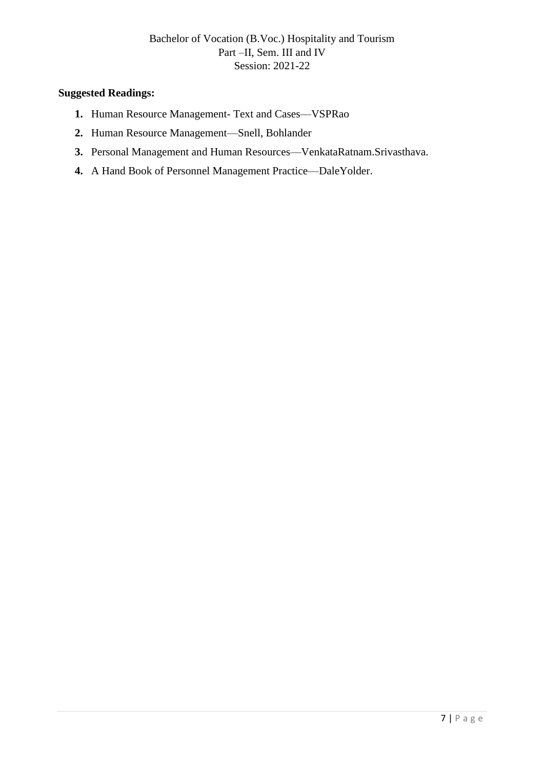- **1.** Human Resource Management- Text and Cases—VSPRao
- **2.** Human Resource Management—Snell, Bohlander
- **3.** Personal Management and Human Resources—VenkataRatnam.Srivasthava.
- **4.** A Hand Book of Personnel Management Practice—DaleYolder.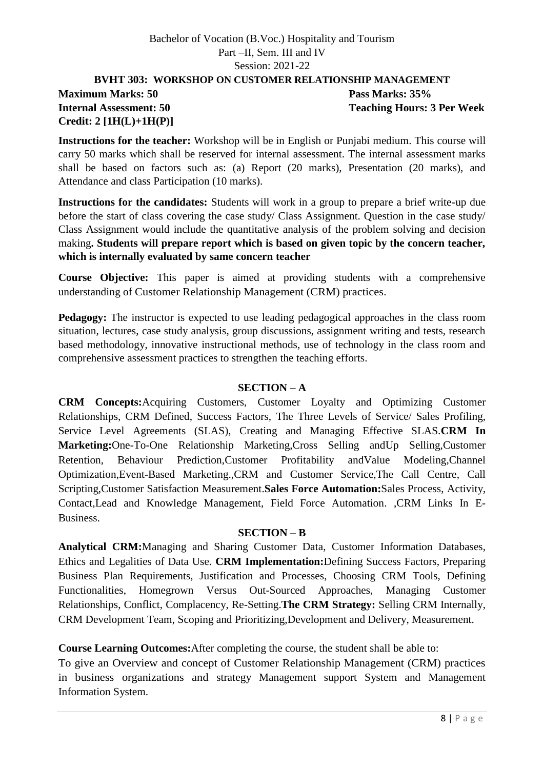### **BVHT 303: WORKSHOP ON CUSTOMER RELATIONSHIP MANAGEMENT Maximum Marks: 50 Pass Marks: 35% Internal Assessment: 50 Teaching Hours: 3 Per Week Credit: 2 [1H(L)+1H(P)]**

**Instructions for the teacher:** Workshop will be in English or Punjabi medium. This course will carry 50 marks which shall be reserved for internal assessment. The internal assessment marks shall be based on factors such as: (a) Report (20 marks), Presentation (20 marks), and Attendance and class Participation (10 marks).

**Instructions for the candidates:** Students will work in a group to prepare a brief write-up due before the start of class covering the case study/ Class Assignment. Question in the case study/ Class Assignment would include the quantitative analysis of the problem solving and decision making**. Students will prepare report which is based on given topic by the concern teacher, which is internally evaluated by same concern teacher**

**Course Objective:** This paper is aimed at providing students with a comprehensive understanding of Customer Relationship Management (CRM) practices.

**Pedagogy:** The instructor is expected to use leading pedagogical approaches in the class room situation, lectures, case study analysis, group discussions, assignment writing and tests, research based methodology, innovative instructional methods, use of technology in the class room and comprehensive assessment practices to strengthen the teaching efforts.

### **SECTION – A**

**CRM Concepts:**Acquiring Customers, Customer Loyalty and Optimizing Customer Relationships, CRM Defined, Success Factors, The Three Levels of Service/ Sales Profiling, Service Level Agreements (SLAS), Creating and Managing Effective SLAS.**CRM In Marketing:**One-To-One Relationship Marketing,Cross Selling andUp Selling,Customer Retention, Behaviour Prediction,Customer Profitability andValue Modeling,Channel Optimization,Event-Based Marketing.,CRM and Customer Service,The Call Centre, Call Scripting,Customer Satisfaction Measurement.**Sales Force Automation:**Sales Process, Activity, Contact,Lead and Knowledge Management, Field Force Automation. ,CRM Links In E-Business.

### **SECTION – B**

**Analytical CRM:**Managing and Sharing Customer Data, Customer Information Databases, Ethics and Legalities of Data Use. **CRM Implementation:**Defining Success Factors, Preparing Business Plan Requirements, Justification and Processes, Choosing CRM Tools, Defining Functionalities, Homegrown Versus Out-Sourced Approaches, Managing Customer Relationships, Conflict, Complacency, Re-Setting.**The CRM Strategy:** Selling CRM Internally, CRM Development Team, Scoping and Prioritizing,Development and Delivery, Measurement.

### **Course Learning Outcomes:**After completing the course, the student shall be able to:

To give an Overview and concept of Customer Relationship Management (CRM) practices in business organizations and strategy Management support System and Management Information System.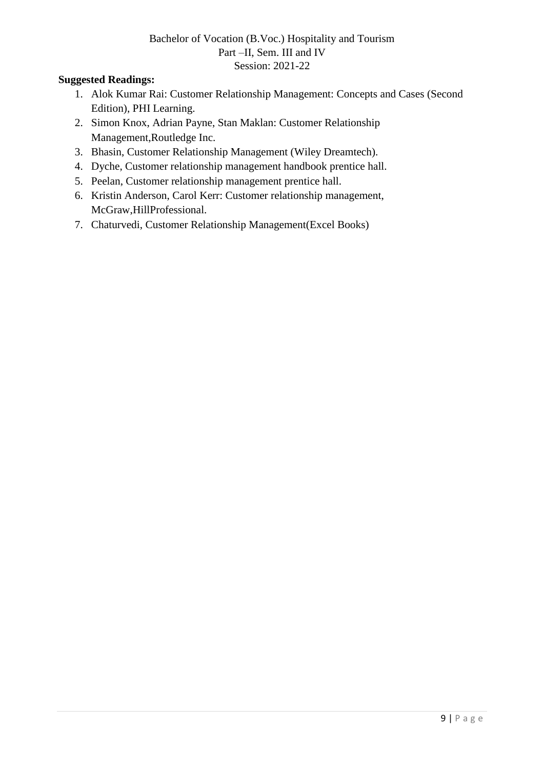- 1. Alok Kumar Rai: Customer Relationship Management: Concepts and Cases (Second Edition), PHI Learning.
- 2. Simon Knox, Adrian Payne, Stan Maklan: Customer Relationship Management,Routledge Inc.
- 3. Bhasin, Customer Relationship Management (Wiley Dreamtech).
- 4. Dyche, Customer relationship management handbook prentice hall.
- 5. Peelan, Customer relationship management prentice hall.
- 6. Kristin Anderson, Carol Kerr: Customer relationship management, McGraw,HillProfessional.
- 7. Chaturvedi, Customer Relationship Management(Excel Books)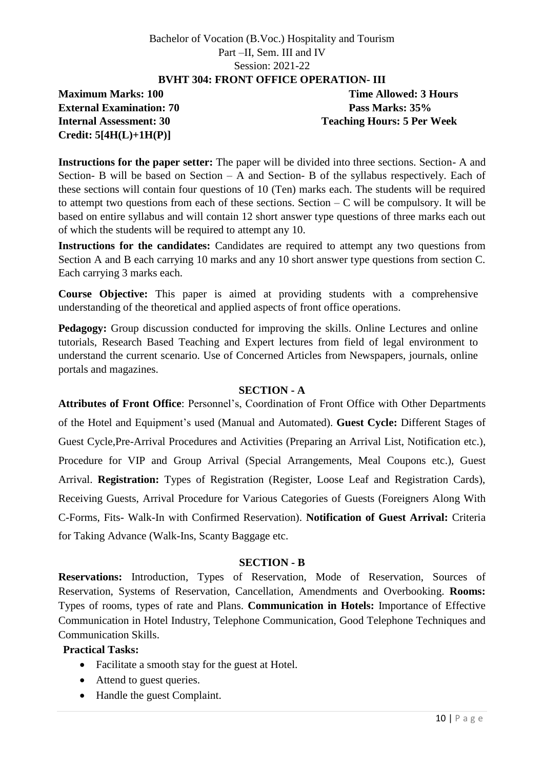### **BVHT 304: FRONT OFFICE OPERATION- III**

**External Examination: 70 Pass Marks: 35% Credit: 5[4H(L)+1H(P)]**

**Maximum Marks: 100 Time Allowed: 3 Hours Internal Assessment: 30 Teaching Hours: 5 Per Week**

**Instructions for the paper setter:** The paper will be divided into three sections. Section- A and Section- B will be based on Section – A and Section- B of the syllabus respectively. Each of these sections will contain four questions of 10 (Ten) marks each. The students will be required to attempt two questions from each of these sections. Section  $-C$  will be compulsory. It will be based on entire syllabus and will contain 12 short answer type questions of three marks each out of which the students will be required to attempt any 10.

**Instructions for the candidates:** Candidates are required to attempt any two questions from Section A and B each carrying 10 marks and any 10 short answer type questions from section C. Each carrying 3 marks each.

**Course Objective:** This paper is aimed at providing students with a comprehensive understanding of the theoretical and applied aspects of front office operations.

**Pedagogy:** Group discussion conducted for improving the skills. Online Lectures and online tutorials, Research Based Teaching and Expert lectures from field of legal environment to understand the current scenario. Use of Concerned Articles from Newspapers, journals, online portals and magazines.

### **SECTION - A**

**Attributes of Front Office**: Personnel's, Coordination of Front Office with Other Departments of the Hotel and Equipment's used (Manual and Automated). **Guest Cycle:** Different Stages of Guest Cycle,Pre-Arrival Procedures and Activities (Preparing an Arrival List, Notification etc.), Procedure for VIP and Group Arrival (Special Arrangements, Meal Coupons etc.), Guest Arrival. **Registration:** Types of Registration (Register, Loose Leaf and Registration Cards), Receiving Guests, Arrival Procedure for Various Categories of Guests (Foreigners Along With C-Forms, Fits- Walk-In with Confirmed Reservation). **Notification of Guest Arrival:** Criteria for Taking Advance (Walk-Ins, Scanty Baggage etc.

### **SECTION - B**

**Reservations:** Introduction, Types of Reservation, Mode of Reservation, Sources of Reservation, Systems of Reservation, Cancellation, Amendments and Overbooking. **Rooms:**  Types of rooms, types of rate and Plans. **Communication in Hotels:** Importance of Effective Communication in Hotel Industry, Telephone Communication, Good Telephone Techniques and Communication Skills.

### **Practical Tasks:**

- Facilitate a smooth stay for the guest at Hotel.
- Attend to guest queries.
- Handle the guest Complaint.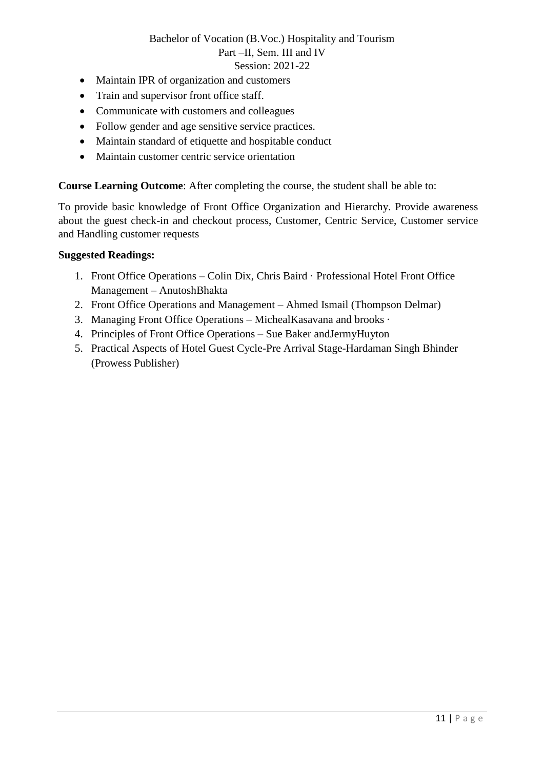- Maintain IPR of organization and customers
- Train and supervisor front office staff.
- Communicate with customers and colleagues
- Follow gender and age sensitive service practices.
- Maintain standard of etiquette and hospitable conduct
- Maintain customer centric service orientation

**Course Learning Outcome**: After completing the course, the student shall be able to:

To provide basic knowledge of Front Office Organization and Hierarchy. Provide awareness about the guest check-in and checkout process, Customer, Centric Service, Customer service and Handling customer requests

- 1. Front Office Operations Colin Dix, Chris Baird · Professional Hotel Front Office Management – AnutoshBhakta
- 2. Front Office Operations and Management Ahmed Ismail (Thompson Delmar)
- 3. Managing Front Office Operations MichealKasavana and brooks ·
- 4. Principles of Front Office Operations Sue Baker andJermyHuyton
- 5. Practical Aspects of Hotel Guest Cycle-Pre Arrival Stage-Hardaman Singh Bhinder (Prowess Publisher)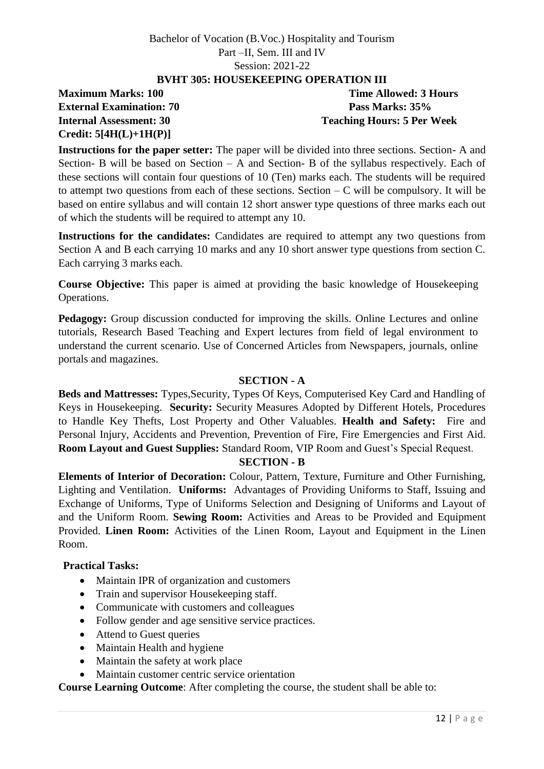### **BVHT 305: HOUSEKEEPING OPERATION III**

**Maximum Marks: 100 Time Allowed: 3 Hours External Examination: 70 Pass Marks: 35% Credit: 5[4H(L)+1H(P)]**

**Internal Assessment: 30 Teaching Hours: 5 Per Week**

**Instructions for the paper setter:** The paper will be divided into three sections. Section- A and Section- B will be based on Section – A and Section- B of the syllabus respectively. Each of these sections will contain four questions of 10 (Ten) marks each. The students will be required to attempt two questions from each of these sections. Section  $-C$  will be compulsory. It will be based on entire syllabus and will contain 12 short answer type questions of three marks each out of which the students will be required to attempt any 10.

**Instructions for the candidates:** Candidates are required to attempt any two questions from Section A and B each carrying 10 marks and any 10 short answer type questions from section C. Each carrying 3 marks each.

**Course Objective:** This paper is aimed at providing the basic knowledge of Housekeeping Operations.

**Pedagogy:** Group discussion conducted for improving the skills. Online Lectures and online tutorials, Research Based Teaching and Expert lectures from field of legal environment to understand the current scenario. Use of Concerned Articles from Newspapers, journals, online portals and magazines.

### **SECTION - A**

**Beds and Mattresses:** Types,Security, Types Of Keys, Computerised Key Card and Handling of Keys in Housekeeping. **Security:** Security Measures Adopted by Different Hotels, Procedures to Handle Key Thefts, Lost Property and Other Valuables. **Health and Safety:** Fire and Personal Injury, Accidents and Prevention, Prevention of Fire, Fire Emergencies and First Aid. **Room Layout and Guest Supplies:** Standard Room, VIP Room and Guest's Special Request.

### **SECTION - B**

**Elements of Interior of Decoration:** Colour, Pattern, Texture, Furniture and Other Furnishing, Lighting and Ventilation. **Uniforms:** Advantages of Providing Uniforms to Staff, Issuing and Exchange of Uniforms, Type of Uniforms Selection and Designing of Uniforms and Layout of and the Uniform Room. **Sewing Room:** Activities and Areas to be Provided and Equipment Provided. **Linen Room:** Activities of the Linen Room, Layout and Equipment in the Linen Room.

### **Practical Tasks:**

- Maintain IPR of organization and customers
- Train and supervisor Housekeeping staff.
- Communicate with customers and colleagues
- Follow gender and age sensitive service practices.
- Attend to Guest queries
- Maintain Health and hygiene
- Maintain the safety at work place
- Maintain customer centric service orientation

**Course Learning Outcome**: After completing the course, the student shall be able to: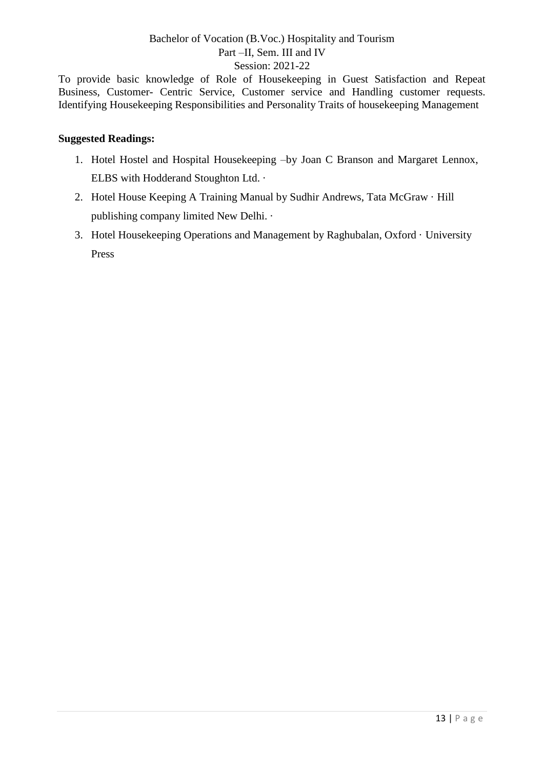To provide basic knowledge of Role of Housekeeping in Guest Satisfaction and Repeat Business, Customer- Centric Service, Customer service and Handling customer requests. Identifying Housekeeping Responsibilities and Personality Traits of housekeeping Management

- 1. Hotel Hostel and Hospital Housekeeping –by Joan C Branson and Margaret Lennox, ELBS with Hodderand Stoughton Ltd. ·
- 2. Hotel House Keeping A Training Manual by Sudhir Andrews, Tata McGraw · Hill publishing company limited New Delhi. ·
- 3. Hotel Housekeeping Operations and Management by Raghubalan, Oxford · University Press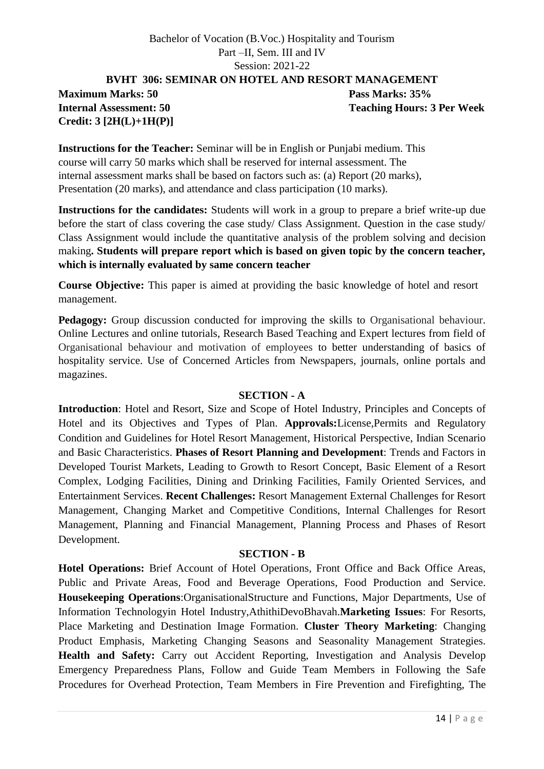### Bachelor of Vocation (B.Voc.) Hospitality and Tourism Part –II, Sem. III and IV Session: 2021-22 **BVHT 306: SEMINAR ON HOTEL AND RESORT MANAGEMENT**

# **Maximum Marks: 50 Pass Marks: 35% Credit: 3 [2H(L)+1H(P)]**

**Internal Assessment: 50 Teaching Hours: 3 Per Week** 

**Instructions for the Teacher:** Seminar will be in English or Punjabi medium. This course will carry 50 marks which shall be reserved for internal assessment. The internal assessment marks shall be based on factors such as: (a) Report (20 marks), Presentation (20 marks), and attendance and class participation (10 marks).

**Instructions for the candidates:** Students will work in a group to prepare a brief write-up due before the start of class covering the case study/ Class Assignment. Question in the case study/ Class Assignment would include the quantitative analysis of the problem solving and decision making**. Students will prepare report which is based on given topic by the concern teacher, which is internally evaluated by same concern teacher**

**Course Objective:** This paper is aimed at providing the basic knowledge of hotel and resort management.

**Pedagogy:** Group discussion conducted for improving the skills to Organisational behaviour. Online Lectures and online tutorials, Research Based Teaching and Expert lectures from field of Organisational behaviour and motivation of employees to better understanding of basics of hospitality service. Use of Concerned Articles from Newspapers, journals, online portals and magazines.

### **SECTION - A**

**Introduction**: Hotel and Resort, Size and Scope of Hotel Industry, Principles and Concepts of Hotel and its Objectives and Types of Plan. **Approvals:**License,Permits and Regulatory Condition and Guidelines for Hotel Resort Management, Historical Perspective, Indian Scenario and Basic Characteristics. **Phases of Resort Planning and Development**: Trends and Factors in Developed Tourist Markets, Leading to Growth to Resort Concept, Basic Element of a Resort Complex, Lodging Facilities, Dining and Drinking Facilities, Family Oriented Services, and Entertainment Services. **Recent Challenges:** Resort Management External Challenges for Resort Management, Changing Market and Competitive Conditions, Internal Challenges for Resort Management, Planning and Financial Management, Planning Process and Phases of Resort Development.

### **SECTION - B**

**Hotel Operations:** Brief Account of Hotel Operations, Front Office and Back Office Areas, Public and Private Areas, Food and Beverage Operations, Food Production and Service. **Housekeeping Operations**:OrganisationalStructure and Functions, Major Departments, Use of Information Technologyin Hotel Industry,AthithiDevoBhavah.**Marketing Issues**: For Resorts, Place Marketing and Destination Image Formation. **Cluster Theory Marketing**: Changing Product Emphasis, Marketing Changing Seasons and Seasonality Management Strategies. **Health and Safety:** Carry out Accident Reporting, Investigation and Analysis Develop Emergency Preparedness Plans, Follow and Guide Team Members in Following the Safe Procedures for Overhead Protection, Team Members in Fire Prevention and Firefighting, The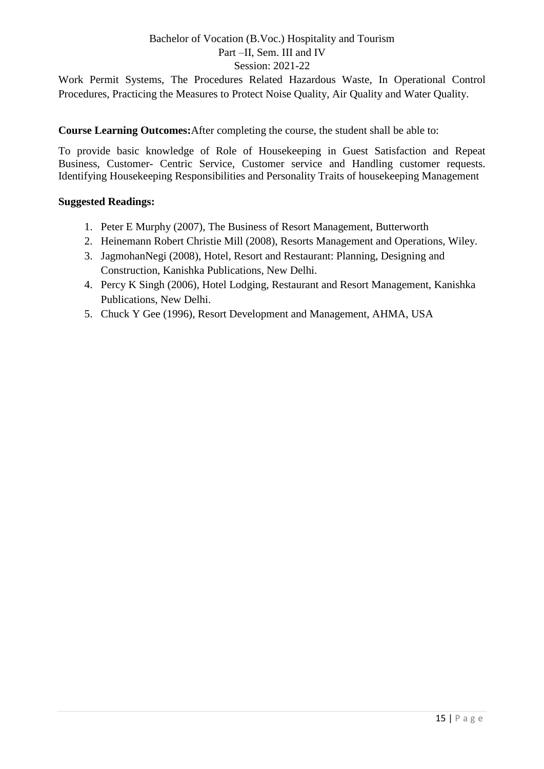Work Permit Systems, The Procedures Related Hazardous Waste, In Operational Control Procedures, Practicing the Measures to Protect Noise Quality, Air Quality and Water Quality.

**Course Learning Outcomes:**After completing the course, the student shall be able to:

To provide basic knowledge of Role of Housekeeping in Guest Satisfaction and Repeat Business, Customer- Centric Service, Customer service and Handling customer requests. Identifying Housekeeping Responsibilities and Personality Traits of housekeeping Management

- 1. Peter E Murphy (2007), The Business of Resort Management, Butterworth
- 2. Heinemann Robert Christie Mill (2008), Resorts Management and Operations, Wiley.
- 3. JagmohanNegi (2008), Hotel, Resort and Restaurant: Planning, Designing and Construction, Kanishka Publications, New Delhi.
- 4. Percy K Singh (2006), Hotel Lodging, Restaurant and Resort Management, Kanishka Publications, New Delhi.
- 5. Chuck Y Gee (1996), Resort Development and Management, AHMA, USA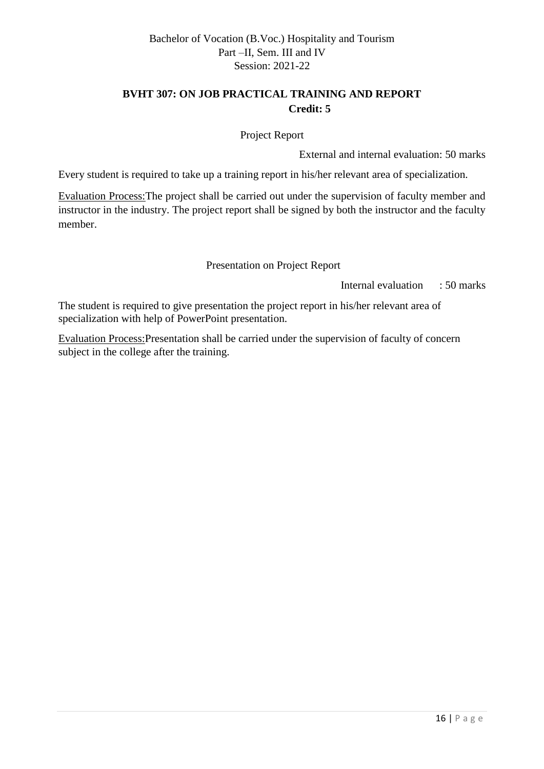# **BVHT 307: ON JOB PRACTICAL TRAINING AND REPORT Credit: 5**

Project Report

External and internal evaluation: 50 marks

Every student is required to take up a training report in his/her relevant area of specialization.

Evaluation Process:The project shall be carried out under the supervision of faculty member and instructor in the industry. The project report shall be signed by both the instructor and the faculty member.

Presentation on Project Report

Internal evaluation : 50 marks

The student is required to give presentation the project report in his/her relevant area of specialization with help of PowerPoint presentation.

Evaluation Process:Presentation shall be carried under the supervision of faculty of concern subject in the college after the training.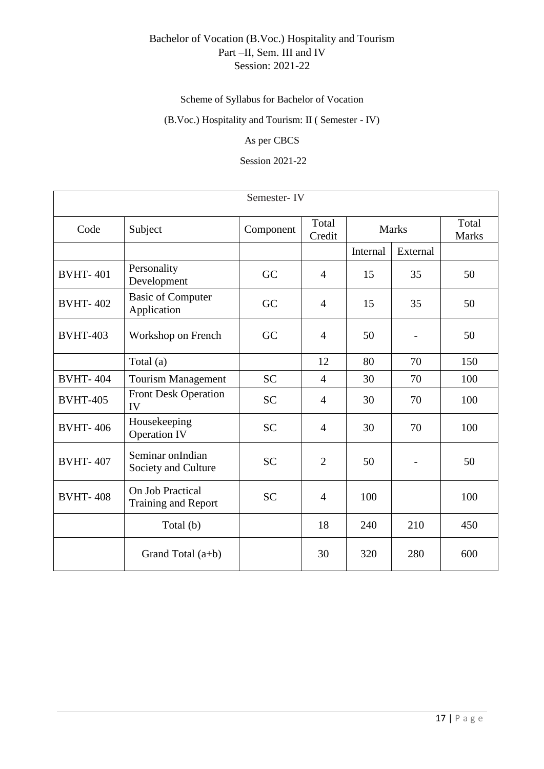# Scheme of Syllabus for Bachelor of Vocation

# (B.Voc.) Hospitality and Tourism: II ( Semester - IV)

### As per CBCS

### Session 2021-22

| Semester-IV     |                                         |           |                 |              |                          |                       |  |  |  |  |
|-----------------|-----------------------------------------|-----------|-----------------|--------------|--------------------------|-----------------------|--|--|--|--|
| Code            | Subject                                 | Component | Total<br>Credit | <b>Marks</b> |                          | Total<br><b>Marks</b> |  |  |  |  |
|                 |                                         |           |                 | Internal     | External                 |                       |  |  |  |  |
| <b>BVHT-401</b> | Personality<br>Development              | GC        | $\overline{4}$  | 15           | 35                       | 50                    |  |  |  |  |
| <b>BVHT-402</b> | <b>Basic of Computer</b><br>Application | GC        | $\overline{4}$  | 15           | 35                       | 50                    |  |  |  |  |
| <b>BVHT-403</b> | Workshop on French                      | GC        | $\overline{4}$  | 50           |                          | 50                    |  |  |  |  |
|                 | Total (a)                               |           | 12              | 80           | 70                       | 150                   |  |  |  |  |
| <b>BVHT-404</b> | <b>Tourism Management</b>               | <b>SC</b> | $\overline{4}$  | 30           | 70                       | 100                   |  |  |  |  |
| <b>BVHT-405</b> | <b>Front Desk Operation</b><br>IV       | <b>SC</b> | $\overline{4}$  | 30           | 70                       | 100                   |  |  |  |  |
| <b>BVHT-406</b> | Housekeeping<br><b>Operation IV</b>     | <b>SC</b> | $\overline{4}$  | 30           | 70                       | 100                   |  |  |  |  |
| <b>BVHT-407</b> | Seminar onIndian<br>Society and Culture | <b>SC</b> | $\overline{2}$  | 50           | $\overline{\phantom{a}}$ | 50                    |  |  |  |  |
| <b>BVHT-408</b> | On Job Practical<br>Training and Report | <b>SC</b> | $\overline{4}$  | 100          |                          | 100                   |  |  |  |  |
|                 | Total (b)                               |           | 18              | 240          | 210                      | 450                   |  |  |  |  |
|                 | Grand Total $(a+b)$                     |           | 30              | 320          | 280                      | 600                   |  |  |  |  |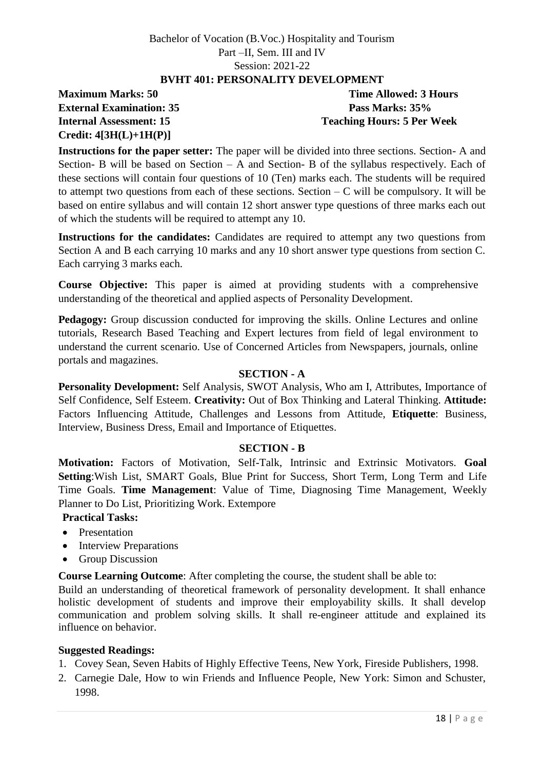### **BVHT 401: PERSONALITY DEVELOPMENT**

# **Maximum Marks: 50 Time Allowed: 3 Hours External Examination: 35 Pass Marks: 35% Credit: 4[3H(L)+1H(P)]**

**Internal Assessment: 15 Teaching Hours: 5 Per Week**

**Instructions for the paper setter:** The paper will be divided into three sections. Section- A and Section- B will be based on Section – A and Section- B of the syllabus respectively. Each of these sections will contain four questions of 10 (Ten) marks each. The students will be required to attempt two questions from each of these sections. Section  $-C$  will be compulsory. It will be based on entire syllabus and will contain 12 short answer type questions of three marks each out of which the students will be required to attempt any 10.

**Instructions for the candidates:** Candidates are required to attempt any two questions from Section A and B each carrying 10 marks and any 10 short answer type questions from section C. Each carrying 3 marks each.

**Course Objective:** This paper is aimed at providing students with a comprehensive understanding of the theoretical and applied aspects of Personality Development.

**Pedagogy:** Group discussion conducted for improving the skills. Online Lectures and online tutorials, Research Based Teaching and Expert lectures from field of legal environment to understand the current scenario. Use of Concerned Articles from Newspapers, journals, online portals and magazines.

### **SECTION - A**

**Personality Development:** Self Analysis, SWOT Analysis, Who am I, Attributes, Importance of Self Confidence, Self Esteem. **Creativity:** Out of Box Thinking and Lateral Thinking. **Attitude:** Factors Influencing Attitude, Challenges and Lessons from Attitude, **Etiquette**: Business, Interview, Business Dress, Email and Importance of Etiquettes.

### **SECTION - B**

**Motivation:** Factors of Motivation, Self-Talk, Intrinsic and Extrinsic Motivators. **Goal Setting**:Wish List, SMART Goals, Blue Print for Success, Short Term, Long Term and Life Time Goals. **Time Management**: Value of Time, Diagnosing Time Management, Weekly Planner to Do List, Prioritizing Work. Extempore

# **Practical Tasks:**

- Presentation
- Interview Preparations
- Group Discussion

**Course Learning Outcome**: After completing the course, the student shall be able to:

Build an understanding of theoretical framework of personality development. It shall enhance holistic development of students and improve their employability skills. It shall develop communication and problem solving skills. It shall re-engineer attitude and explained its influence on behavior.

- 1. Covey Sean, Seven Habits of Highly Effective Teens, New York, Fireside Publishers, 1998.
- 2. Carnegie Dale, How to win Friends and Influence People, New York: Simon and Schuster, 1998.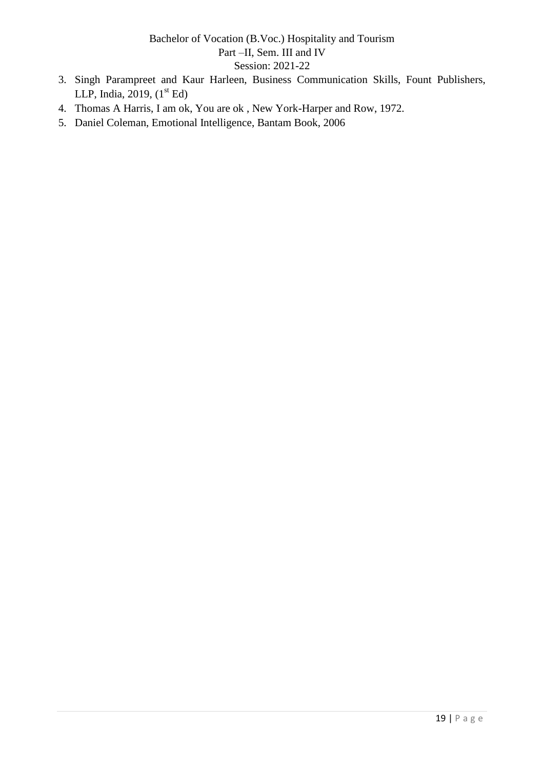- 3. Singh Parampreet and Kaur Harleen, Business Communication Skills, Fount Publishers, LLP, India, 2019,  $(1<sup>st</sup> Ed)$
- 4. Thomas A Harris, I am ok, You are ok , New York-Harper and Row, 1972.
- 5. Daniel Coleman, Emotional Intelligence, Bantam Book, 2006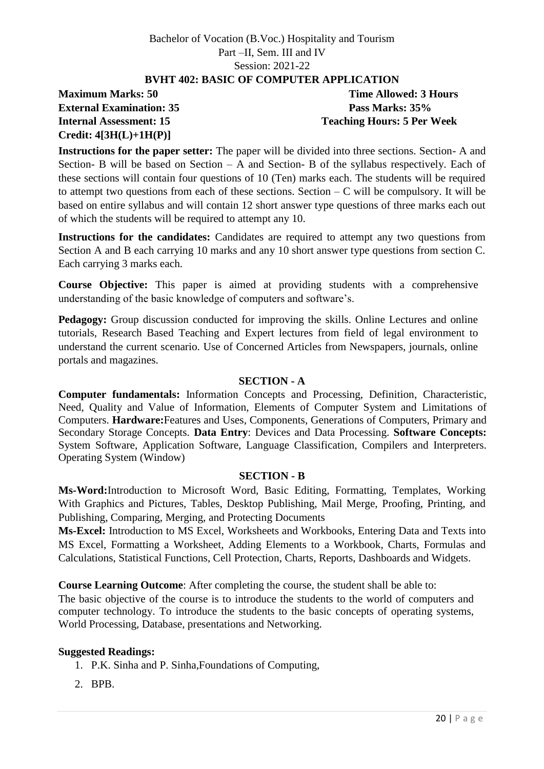### **BVHT 402: BASIC OF COMPUTER APPLICATION**

# **External Examination: 35 Pass Marks: 35% Credit: 4[3H(L)+1H(P)]**

**Maximum Marks: 50 Time Allowed: 3 Hours Internal Assessment: 15 Teaching Hours: 5 Per Week**

**Instructions for the paper setter:** The paper will be divided into three sections. Section- A and Section- B will be based on Section – A and Section- B of the syllabus respectively. Each of these sections will contain four questions of 10 (Ten) marks each. The students will be required to attempt two questions from each of these sections. Section  $-C$  will be compulsory. It will be based on entire syllabus and will contain 12 short answer type questions of three marks each out of which the students will be required to attempt any 10.

**Instructions for the candidates:** Candidates are required to attempt any two questions from Section A and B each carrying 10 marks and any 10 short answer type questions from section C. Each carrying 3 marks each.

**Course Objective:** This paper is aimed at providing students with a comprehensive understanding of the basic knowledge of computers and software's.

**Pedagogy:** Group discussion conducted for improving the skills. Online Lectures and online tutorials, Research Based Teaching and Expert lectures from field of legal environment to understand the current scenario. Use of Concerned Articles from Newspapers, journals, online portals and magazines.

### **SECTION - A**

**Computer fundamentals:** Information Concepts and Processing, Definition, Characteristic, Need, Quality and Value of Information, Elements of Computer System and Limitations of Computers. **Hardware:**Features and Uses, Components, Generations of Computers, Primary and Secondary Storage Concepts. **Data Entry**: Devices and Data Processing. **Software Concepts:** System Software, Application Software, Language Classification, Compilers and Interpreters. Operating System (Window)

### **SECTION - B**

**Ms-Word:**Introduction to Microsoft Word, Basic Editing, Formatting, Templates, Working With Graphics and Pictures, Tables, Desktop Publishing, Mail Merge, Proofing, Printing, and Publishing, Comparing, Merging, and Protecting Documents

**Ms-Excel:** Introduction to MS Excel, Worksheets and Workbooks, Entering Data and Texts into MS Excel, Formatting a Worksheet, Adding Elements to a Workbook, Charts, Formulas and Calculations, Statistical Functions, Cell Protection, Charts, Reports, Dashboards and Widgets.

**Course Learning Outcome**: After completing the course, the student shall be able to:

The basic objective of the course is to introduce the students to the world of computers and computer technology. To introduce the students to the basic concepts of operating systems, World Processing, Database, presentations and Networking.

### **Suggested Readings:**

1. P.K. Sinha and P. Sinha,Foundations of Computing,

2. BPB.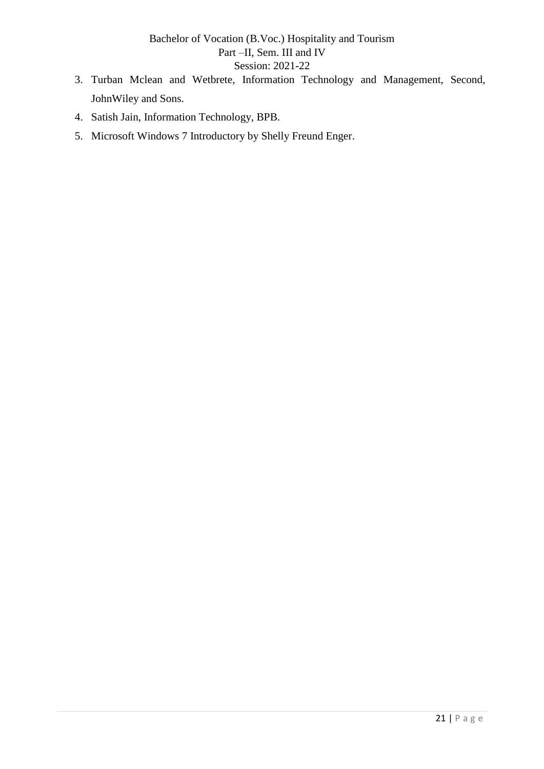- 3. Turban Mclean and Wetbrete, Information Technology and Management, Second, JohnWiley and Sons.
- 4. Satish Jain, Information Technology, BPB.
- 5. Microsoft Windows 7 Introductory by Shelly Freund Enger.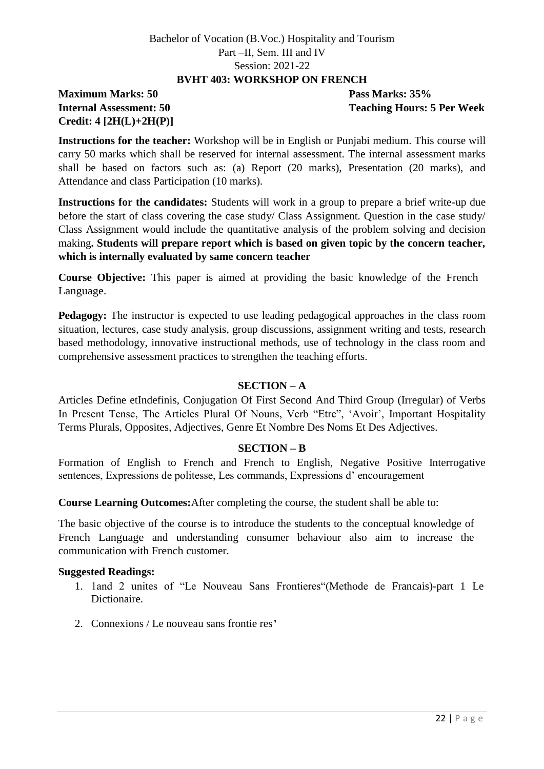### **BVHT 403: WORKSHOP ON FRENCH**

# **Maximum Marks: 50 Pass Marks: 35% Credit: 4 [2H(L)+2H(P)]**

**Internal Assessment: 50** Teaching Hours: 5 Per Week

**Instructions for the teacher:** Workshop will be in English or Punjabi medium. This course will carry 50 marks which shall be reserved for internal assessment. The internal assessment marks shall be based on factors such as: (a) Report (20 marks), Presentation (20 marks), and Attendance and class Participation (10 marks).

**Instructions for the candidates:** Students will work in a group to prepare a brief write-up due before the start of class covering the case study/ Class Assignment. Question in the case study/ Class Assignment would include the quantitative analysis of the problem solving and decision making**. Students will prepare report which is based on given topic by the concern teacher, which is internally evaluated by same concern teacher**

**Course Objective:** This paper is aimed at providing the basic knowledge of the French Language.

**Pedagogy:** The instructor is expected to use leading pedagogical approaches in the class room situation, lectures, case study analysis, group discussions, assignment writing and tests, research based methodology, innovative instructional methods, use of technology in the class room and comprehensive assessment practices to strengthen the teaching efforts.

### **SECTION – A**

Articles Define etIndefinis, Conjugation Of First Second And Third Group (Irregular) of Verbs In Present Tense, The Articles Plural Of Nouns, Verb "Etre", 'Avoir', Important Hospitality Terms Plurals, Opposites, Adjectives, Genre Et Nombre Des Noms Et Des Adjectives.

### **SECTION – B**

Formation of English to French and French to English, Negative Positive Interrogative sentences, Expressions de politesse, Les commands, Expressions d' encouragement

**Course Learning Outcomes:**After completing the course, the student shall be able to:

The basic objective of the course is to introduce the students to the conceptual knowledge of French Language and understanding consumer behaviour also aim to increase the communication with French customer.

- 1. 1and 2 unites of "Le Nouveau Sans Frontieres" (Methode de Francais)-part 1 Le Dictionaire.
- 2. Connexions / Le nouveau sans frontie res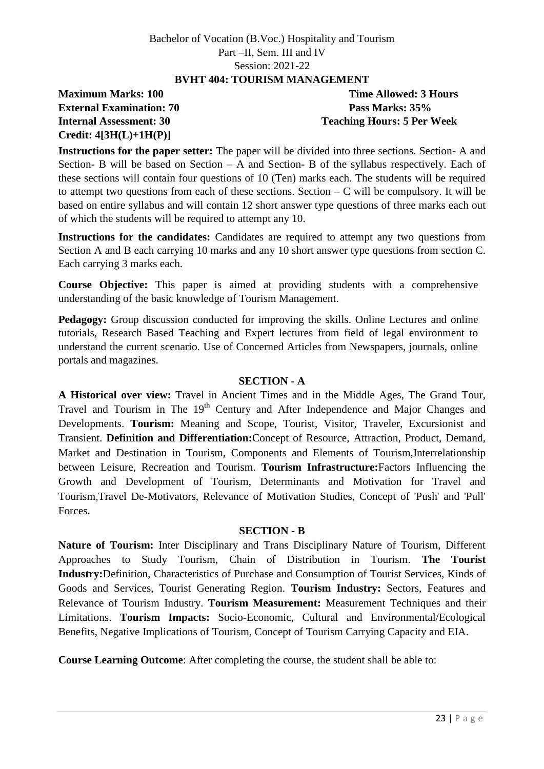### **BVHT 404: TOURISM MANAGEMENT**

# **Maximum Marks: 100 Time Allowed: 3 Hours External Examination: 70 Pass Marks: 35% Credit: 4[3H(L)+1H(P)]**

**Internal Assessment: 30 Teaching Hours: 5 Per Week**

**Instructions for the paper setter:** The paper will be divided into three sections. Section- A and Section- B will be based on Section – A and Section- B of the syllabus respectively. Each of these sections will contain four questions of 10 (Ten) marks each. The students will be required to attempt two questions from each of these sections. Section  $-C$  will be compulsory. It will be based on entire syllabus and will contain 12 short answer type questions of three marks each out of which the students will be required to attempt any 10.

**Instructions for the candidates:** Candidates are required to attempt any two questions from Section A and B each carrying 10 marks and any 10 short answer type questions from section C. Each carrying 3 marks each.

**Course Objective:** This paper is aimed at providing students with a comprehensive understanding of the basic knowledge of Tourism Management.

**Pedagogy:** Group discussion conducted for improving the skills. Online Lectures and online tutorials, Research Based Teaching and Expert lectures from field of legal environment to understand the current scenario. Use of Concerned Articles from Newspapers, journals, online portals and magazines.

### **SECTION - A**

**A Historical over view:** Travel in Ancient Times and in the Middle Ages, The Grand Tour, Travel and Tourism in The 19<sup>th</sup> Century and After Independence and Major Changes and Developments. **Tourism:** Meaning and Scope, Tourist, Visitor, Traveler, Excursionist and Transient. **Definition and Differentiation:**Concept of Resource, Attraction, Product, Demand, Market and Destination in Tourism, Components and Elements of Tourism,Interrelationship between Leisure, Recreation and Tourism. **Tourism Infrastructure:**Factors Influencing the Growth and Development of Tourism, Determinants and Motivation for Travel and Tourism,Travel De-Motivators, Relevance of Motivation Studies, Concept of 'Push' and 'Pull' Forces.

### **SECTION - B**

**Nature of Tourism:** Inter Disciplinary and Trans Disciplinary Nature of Tourism, Different Approaches to Study Tourism, Chain of Distribution in Tourism. **The Tourist Industry:**Definition, Characteristics of Purchase and Consumption of Tourist Services, Kinds of Goods and Services, Tourist Generating Region. **Tourism Industry:** Sectors, Features and Relevance of Tourism Industry. **Tourism Measurement:** Measurement Techniques and their Limitations. **Tourism Impacts:** Socio-Economic, Cultural and Environmental/Ecological Benefits, Negative Implications of Tourism, Concept of Tourism Carrying Capacity and EIA.

**Course Learning Outcome**: After completing the course, the student shall be able to: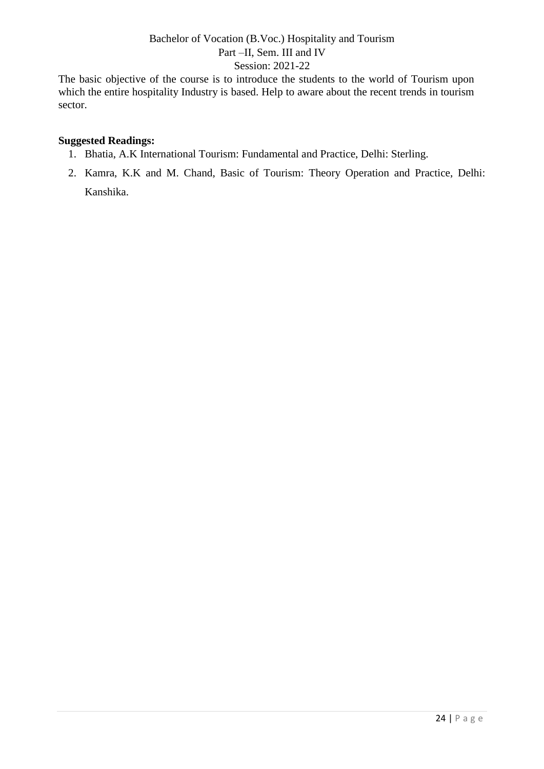The basic objective of the course is to introduce the students to the world of Tourism upon which the entire hospitality Industry is based. Help to aware about the recent trends in tourism sector.

- 1. Bhatia, A.K International Tourism: Fundamental and Practice, Delhi: Sterling.
- 2. Kamra, K.K and M. Chand, Basic of Tourism: Theory Operation and Practice, Delhi: Kanshika.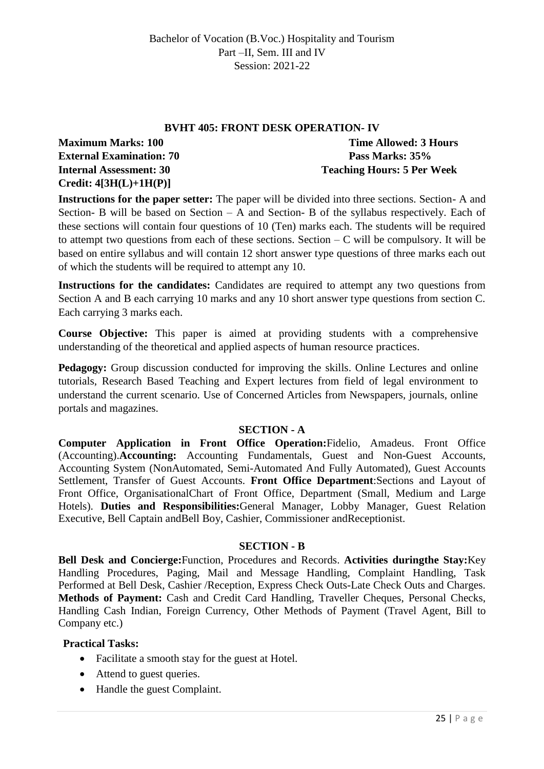# **BVHT 405: FRONT DESK OPERATION- IV Maximum Marks: 100 Time Allowed: 3 Hours External Examination: 70 Pass Marks: 35% Internal Assessment: 30 Teaching Hours: 5 Per Week Credit: 4[3H(L)+1H(P)]**

**Instructions for the paper setter:** The paper will be divided into three sections. Section- A and Section- B will be based on Section – A and Section- B of the syllabus respectively. Each of these sections will contain four questions of 10 (Ten) marks each. The students will be required to attempt two questions from each of these sections. Section  $-C$  will be compulsory. It will be based on entire syllabus and will contain 12 short answer type questions of three marks each out of which the students will be required to attempt any 10.

**Instructions for the candidates:** Candidates are required to attempt any two questions from Section A and B each carrying 10 marks and any 10 short answer type questions from section C. Each carrying 3 marks each.

**Course Objective:** This paper is aimed at providing students with a comprehensive understanding of the theoretical and applied aspects of human resource practices.

**Pedagogy:** Group discussion conducted for improving the skills. Online Lectures and online tutorials, Research Based Teaching and Expert lectures from field of legal environment to understand the current scenario. Use of Concerned Articles from Newspapers, journals, online portals and magazines.

### **SECTION - A**

**Computer Application in Front Office Operation:**Fidelio, Amadeus. Front Office (Accounting).**Accounting:** Accounting Fundamentals, Guest and Non-Guest Accounts, Accounting System (NonAutomated, Semi-Automated And Fully Automated), Guest Accounts Settlement, Transfer of Guest Accounts. **Front Office Department**:Sections and Layout of Front Office, OrganisationalChart of Front Office, Department (Small, Medium and Large Hotels). **Duties and Responsibilities:**General Manager, Lobby Manager, Guest Relation Executive, Bell Captain andBell Boy, Cashier, Commissioner andReceptionist.

### **SECTION - B**

**Bell Desk and Concierge:**Function, Procedures and Records. **Activities duringthe Stay:**Key Handling Procedures, Paging, Mail and Message Handling, Complaint Handling, Task Performed at Bell Desk, Cashier /Reception, Express Check Outs-Late Check Outs and Charges. **Methods of Payment:** Cash and Credit Card Handling, Traveller Cheques, Personal Checks, Handling Cash Indian, Foreign Currency, Other Methods of Payment (Travel Agent, Bill to Company etc.)

### **Practical Tasks:**

- Facilitate a smooth stay for the guest at Hotel.
- Attend to guest queries.
- Handle the guest Complaint.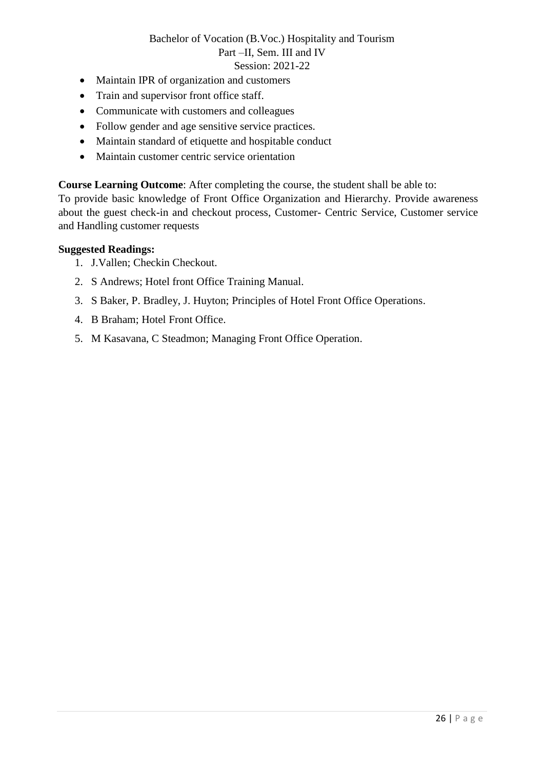- Maintain IPR of organization and customers
- Train and supervisor front office staff.
- Communicate with customers and colleagues
- Follow gender and age sensitive service practices.
- Maintain standard of etiquette and hospitable conduct
- Maintain customer centric service orientation

**Course Learning Outcome**: After completing the course, the student shall be able to:

To provide basic knowledge of Front Office Organization and Hierarchy. Provide awareness about the guest check-in and checkout process, Customer- Centric Service, Customer service and Handling customer requests

- 1. J.Vallen; Checkin Checkout.
- 2. S Andrews; Hotel front Office Training Manual.
- 3. S Baker, P. Bradley, J. Huyton; Principles of Hotel Front Office Operations.
- 4. B Braham; Hotel Front Office.
- 5. M Kasavana, C Steadmon; Managing Front Office Operation.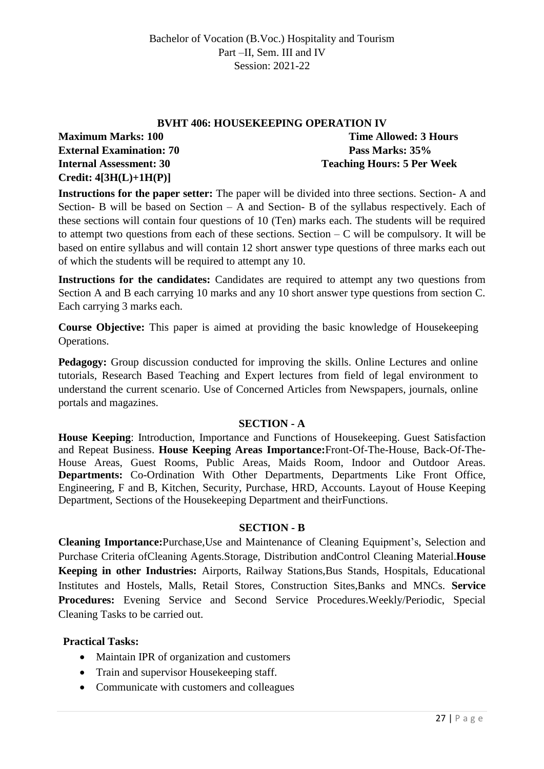### **BVHT 406: HOUSEKEEPING OPERATION IV**

**External Examination: 70 Pass Marks: 35% Credit: 4[3H(L)+1H(P)]**

**Maximum Marks: 100 Time Allowed: 3 Hours Internal Assessment: 30 Teaching Hours: 5 Per Week**

**Instructions for the paper setter:** The paper will be divided into three sections. Section- A and Section- B will be based on Section – A and Section- B of the syllabus respectively. Each of these sections will contain four questions of 10 (Ten) marks each. The students will be required to attempt two questions from each of these sections. Section  $-C$  will be compulsory. It will be based on entire syllabus and will contain 12 short answer type questions of three marks each out of which the students will be required to attempt any 10.

**Instructions for the candidates:** Candidates are required to attempt any two questions from Section A and B each carrying 10 marks and any 10 short answer type questions from section C. Each carrying 3 marks each.

**Course Objective:** This paper is aimed at providing the basic knowledge of Housekeeping Operations.

**Pedagogy:** Group discussion conducted for improving the skills. Online Lectures and online tutorials, Research Based Teaching and Expert lectures from field of legal environment to understand the current scenario. Use of Concerned Articles from Newspapers, journals, online portals and magazines.

### **SECTION - A**

**House Keeping**: Introduction, Importance and Functions of Housekeeping. Guest Satisfaction and Repeat Business. **House Keeping Areas Importance:**Front-Of-The-House, Back-Of-The-House Areas, Guest Rooms, Public Areas, Maids Room, Indoor and Outdoor Areas. **Departments:** Co-Ordination With Other Departments, Departments Like Front Office, Engineering, F and B, Kitchen, Security, Purchase, HRD, Accounts. Layout of House Keeping Department, Sections of the Housekeeping Department and theirFunctions.

# **SECTION - B**

**Cleaning Importance:**Purchase,Use and Maintenance of Cleaning Equipment's, Selection and Purchase Criteria ofCleaning Agents.Storage, Distribution andControl Cleaning Material.**House Keeping in other Industries:** Airports, Railway Stations,Bus Stands, Hospitals, Educational Institutes and Hostels, Malls, Retail Stores, Construction Sites,Banks and MNCs. **Service Procedures:** Evening Service and Second Service Procedures.Weekly/Periodic, Special Cleaning Tasks to be carried out.

### **Practical Tasks:**

- Maintain IPR of organization and customers
- Train and supervisor Housekeeping staff.
- Communicate with customers and colleagues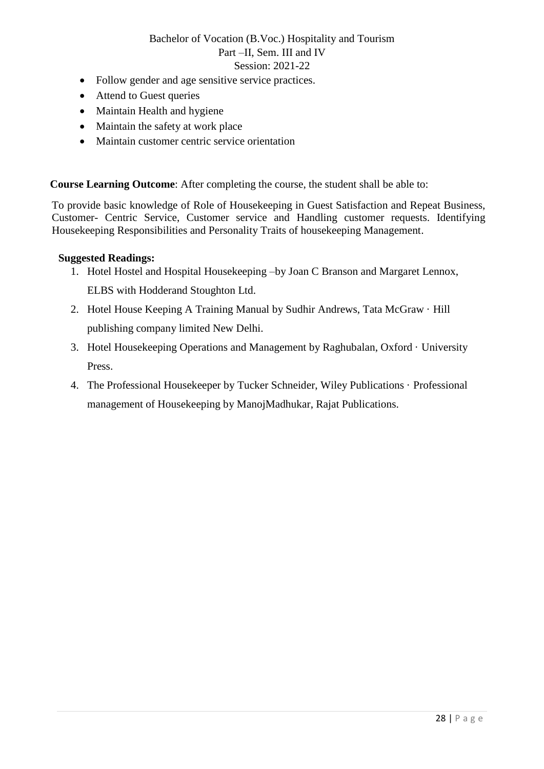- Follow gender and age sensitive service practices.
- Attend to Guest queries
- Maintain Health and hygiene
- Maintain the safety at work place
- Maintain customer centric service orientation

**Course Learning Outcome**: After completing the course, the student shall be able to:

To provide basic knowledge of Role of Housekeeping in Guest Satisfaction and Repeat Business, Customer- Centric Service, Customer service and Handling customer requests. Identifying Housekeeping Responsibilities and Personality Traits of housekeeping Management.

- 1. Hotel Hostel and Hospital Housekeeping –by Joan C Branson and Margaret Lennox, ELBS with Hodderand Stoughton Ltd.
- 2. Hotel House Keeping A Training Manual by Sudhir Andrews, Tata McGraw · Hill publishing company limited New Delhi.
- 3. Hotel Housekeeping Operations and Management by Raghubalan, Oxford · University Press.
- 4. The Professional Housekeeper by Tucker Schneider, Wiley Publications · Professional management of Housekeeping by ManojMadhukar, Rajat Publications.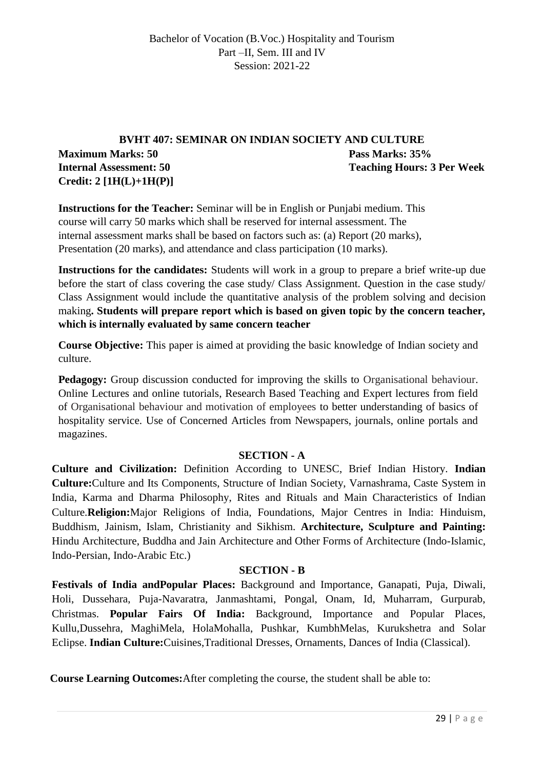# **BVHT 407: SEMINAR ON INDIAN SOCIETY AND CULTURE Maximum Marks: 50 Pass Marks: 35% Internal Assessment: 50 Teaching Hours: 3 Per Week Credit: 2 [1H(L)+1H(P)]**

**Instructions for the Teacher:** Seminar will be in English or Punjabi medium. This course will carry 50 marks which shall be reserved for internal assessment. The internal assessment marks shall be based on factors such as: (a) Report (20 marks), Presentation (20 marks), and attendance and class participation (10 marks).

**Instructions for the candidates:** Students will work in a group to prepare a brief write-up due before the start of class covering the case study/ Class Assignment. Question in the case study/ Class Assignment would include the quantitative analysis of the problem solving and decision making**. Students will prepare report which is based on given topic by the concern teacher, which is internally evaluated by same concern teacher**

**Course Objective:** This paper is aimed at providing the basic knowledge of Indian society and culture.

**Pedagogy:** Group discussion conducted for improving the skills to Organisational behaviour. Online Lectures and online tutorials, Research Based Teaching and Expert lectures from field of Organisational behaviour and motivation of employees to better understanding of basics of hospitality service. Use of Concerned Articles from Newspapers, journals, online portals and magazines.

### **SECTION - A**

**Culture and Civilization:** Definition According to UNESC, Brief Indian History. **Indian Culture:**Culture and Its Components, Structure of Indian Society, Varnashrama, Caste System in India, Karma and Dharma Philosophy, Rites and Rituals and Main Characteristics of Indian Culture.**Religion:**Major Religions of India, Foundations, Major Centres in India: Hinduism, Buddhism, Jainism, Islam, Christianity and Sikhism. **Architecture, Sculpture and Painting:** Hindu Architecture, Buddha and Jain Architecture and Other Forms of Architecture (Indo-Islamic, Indo-Persian, Indo-Arabic Etc.)

### **SECTION - B**

**Festivals of India andPopular Places:** Background and Importance, Ganapati, Puja, Diwali, Holi, Dussehara, Puja-Navaratra, Janmashtami, Pongal, Onam, Id, Muharram, Gurpurab, Christmas. **Popular Fairs Of India:** Background, Importance and Popular Places, Kullu,Dussehra, MaghiMela, HolaMohalla, Pushkar, KumbhMelas, Kurukshetra and Solar Eclipse. **Indian Culture:**Cuisines,Traditional Dresses, Ornaments, Dances of India (Classical).

**Course Learning Outcomes:**After completing the course, the student shall be able to: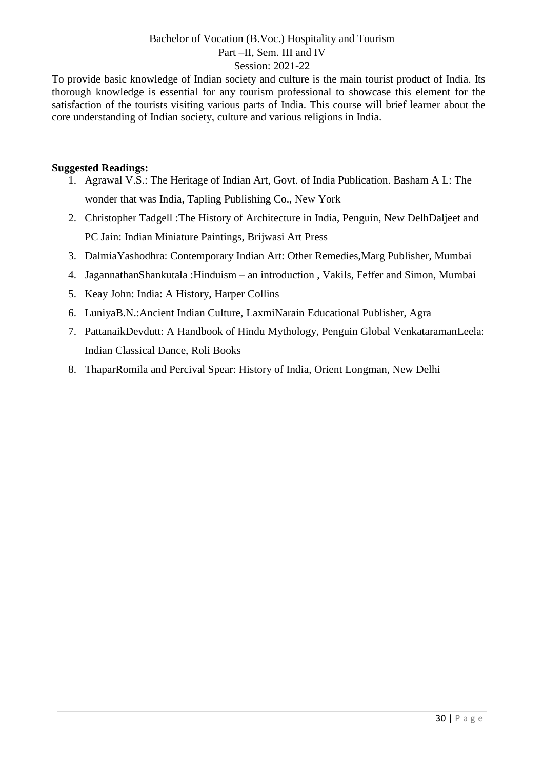To provide basic knowledge of Indian society and culture is the main tourist product of India. Its thorough knowledge is essential for any tourism professional to showcase this element for the satisfaction of the tourists visiting various parts of India. This course will brief learner about the core understanding of Indian society, culture and various religions in India.

- 1. Agrawal V.S.: The Heritage of Indian Art, Govt. of India Publication. Basham A L: The wonder that was India, Tapling Publishing Co., New York
- 2. Christopher Tadgell :The History of Architecture in India, Penguin, New DelhDaljeet and PC Jain: Indian Miniature Paintings, Brijwasi Art Press
- 3. DalmiaYashodhra: Contemporary Indian Art: Other Remedies,Marg Publisher, Mumbai
- 4. JagannathanShankutala :Hinduism an introduction , Vakils, Feffer and Simon, Mumbai
- 5. Keay John: India: A History, Harper Collins
- 6. LuniyaB.N.:Ancient Indian Culture, LaxmiNarain Educational Publisher, Agra
- 7. PattanaikDevdutt: A Handbook of Hindu Mythology, Penguin Global VenkataramanLeela: Indian Classical Dance, Roli Books
- 8. ThaparRomila and Percival Spear: History of India, Orient Longman, New Delhi